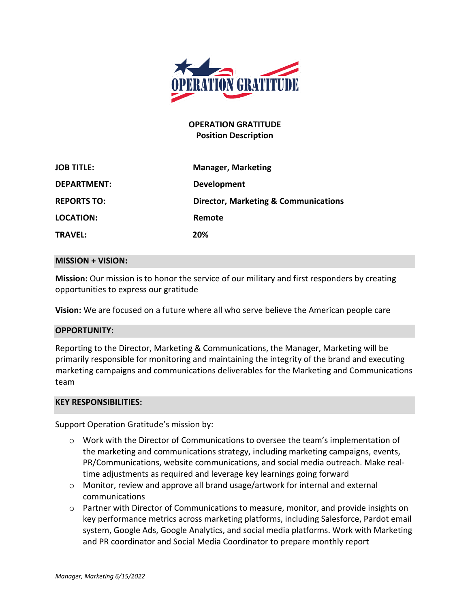

## **OPERATION GRATITUDE Position Description**

| <b>JOB TITLE:</b>  | <b>Manager, Marketing</b>                       |
|--------------------|-------------------------------------------------|
| <b>DEPARTMENT:</b> | <b>Development</b>                              |
| <b>REPORTS TO:</b> | <b>Director, Marketing &amp; Communications</b> |
| LOCATION:          | Remote                                          |
| <b>TRAVEL:</b>     | 20%                                             |

#### **MISSION + VISION:**

**Mission:** Our mission is to honor the service of our military and first responders by creating opportunities to express our gratitude

**Vision:** We are focused on a future where all who serve believe the American people care

### **OPPORTUNITY:**

Reporting to the Director, Marketing & Communications, the Manager, Marketing will be primarily responsible for monitoring and maintaining the integrity of the brand and executing marketing campaigns and communications deliverables for the Marketing and Communications team

### **KEY RESPONSIBILITIES:**

Support Operation Gratitude's mission by:

- $\circ$  Work with the Director of Communications to oversee the team's implementation of the marketing and communications strategy, including marketing campaigns, events, PR/Communications, website communications, and social media outreach. Make realtime adjustments as required and leverage key learnings going forward
- o Monitor, review and approve all brand usage/artwork for internal and external communications
- o Partner with Director of Communications to measure, monitor, and provide insights on key performance metrics across marketing platforms, including Salesforce, Pardot email system, Google Ads, Google Analytics, and social media platforms. Work with Marketing and PR coordinator and Social Media Coordinator to prepare monthly report